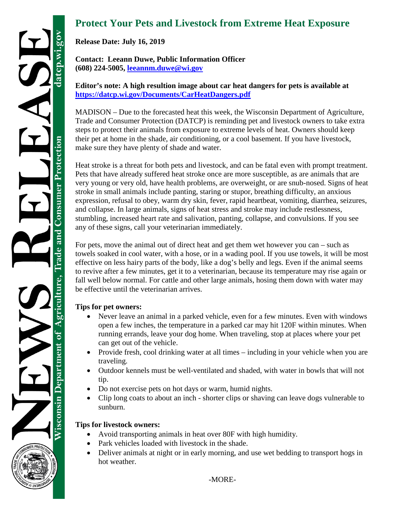## **Protect Your Pets and Livestock from Extreme Heat Exposure**

**Release Date: July 16, 2019**

**Contact: Leeann Duwe, Public Information Officer (608) 224-5005, [leeannm.duwe@wi.gov](mailto:leeannm.duwe@wi.gov)**

**Editor's note: A high resultion image about car heat dangers for pets is available at <https://datcp.wi.gov/Documents/CarHeatDangers.pdf>**

MADISON – Due to the forecasted heat this week, the Wisconsin Department of Agriculture, Trade and Consumer Protection (DATCP) is reminding pet and livestock owners to take extra steps to protect their animals from exposure to extreme levels of heat. Owners should keep their pet at home in the shade, air conditioning, or a cool basement. If you have livestock, make sure they have plenty of shade and water.

Heat stroke is a threat for both pets and livestock, and can be fatal even with prompt treatment. Pets that have already suffered heat stroke once are more susceptible, as are animals that are very young or very old, have health problems, are overweight, or are snub-nosed. Signs of heat stroke in small animals include panting, staring or stupor, breathing difficulty, an anxious expression, refusal to obey, warm dry skin, fever, rapid heartbeat, vomiting, diarrhea, seizures, and collapse. In large animals, signs of heat stress and stroke may include restlessness, stumbling, increased heart rate and salivation, panting, collapse, and convulsions. If you see any of these signs, call your veterinarian immediately.

For pets, move the animal out of direct heat and get them wet however you can – such as towels soaked in cool water, with a hose, or in a wading pool. If you use towels, it will be most effective on less hairy parts of the body, like a dog's belly and legs. Even if the animal seems to revive after a few minutes, get it to a veterinarian, because its temperature may rise again or fall well below normal. For cattle and other large animals, hosing them down with water may be effective until the veterinarian arrives.

## **Tips for pet owners:**

- Never leave an animal in a parked vehicle, even for a few minutes. Even with windows open a few inches, the temperature in a parked car may hit 120F within minutes. When running errands, leave your dog home. When traveling, stop at places where your pet can get out of the vehicle.
- Provide fresh, cool drinking water at all times including in your vehicle when you are traveling.
- Outdoor kennels must be well-ventilated and shaded, with water in bowls that will not tip.
- Do not exercise pets on hot days or warm, humid nights.
- Clip long coats to about an inch shorter clips or shaving can leave dogs vulnerable to sunburn.

## **Tips for livestock owners:**

- Avoid transporting animals in heat over 80F with high humidity.
- Park vehicles loaded with livestock in the shade.
- Deliver animals at night or in early morning, and use wet bedding to transport hogs in hot weather.